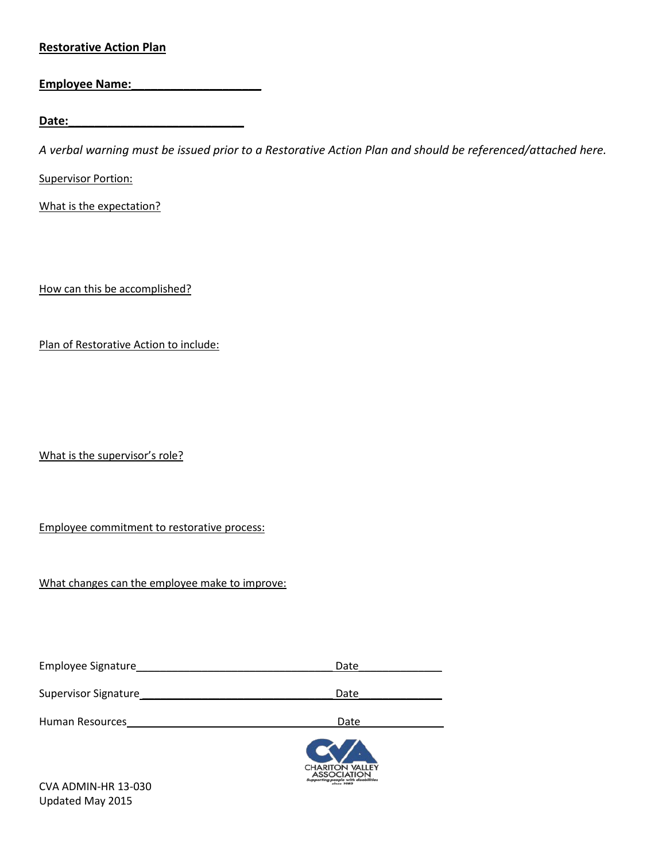## **Restorative Action Plan**

| <b>Employee Name:</b> |  |
|-----------------------|--|
|                       |  |

**Date:\_\_\_\_\_\_\_\_\_\_\_\_\_\_\_\_\_\_\_\_\_\_\_\_\_\_\_**

*A verbal warning must be issued prior to a Restorative Action Plan and should be referenced/attached here.*

**Supervisor Portion:** 

What is the expectation?

How can this be accomplished?

Plan of Restorative Action to include:

What is the supervisor's role?

Employee commitment to restorative process:

What changes can the employee make to improve:

| Date                                                                                              |
|---------------------------------------------------------------------------------------------------|
| Date                                                                                              |
| Date                                                                                              |
| <b>CHARITON VALLEY</b><br><b>ASSOCIATION</b><br>Supporting people with disabilities<br>since 1982 |
|                                                                                                   |

CVA ADMIN-HR 13-030 Updated May 2015